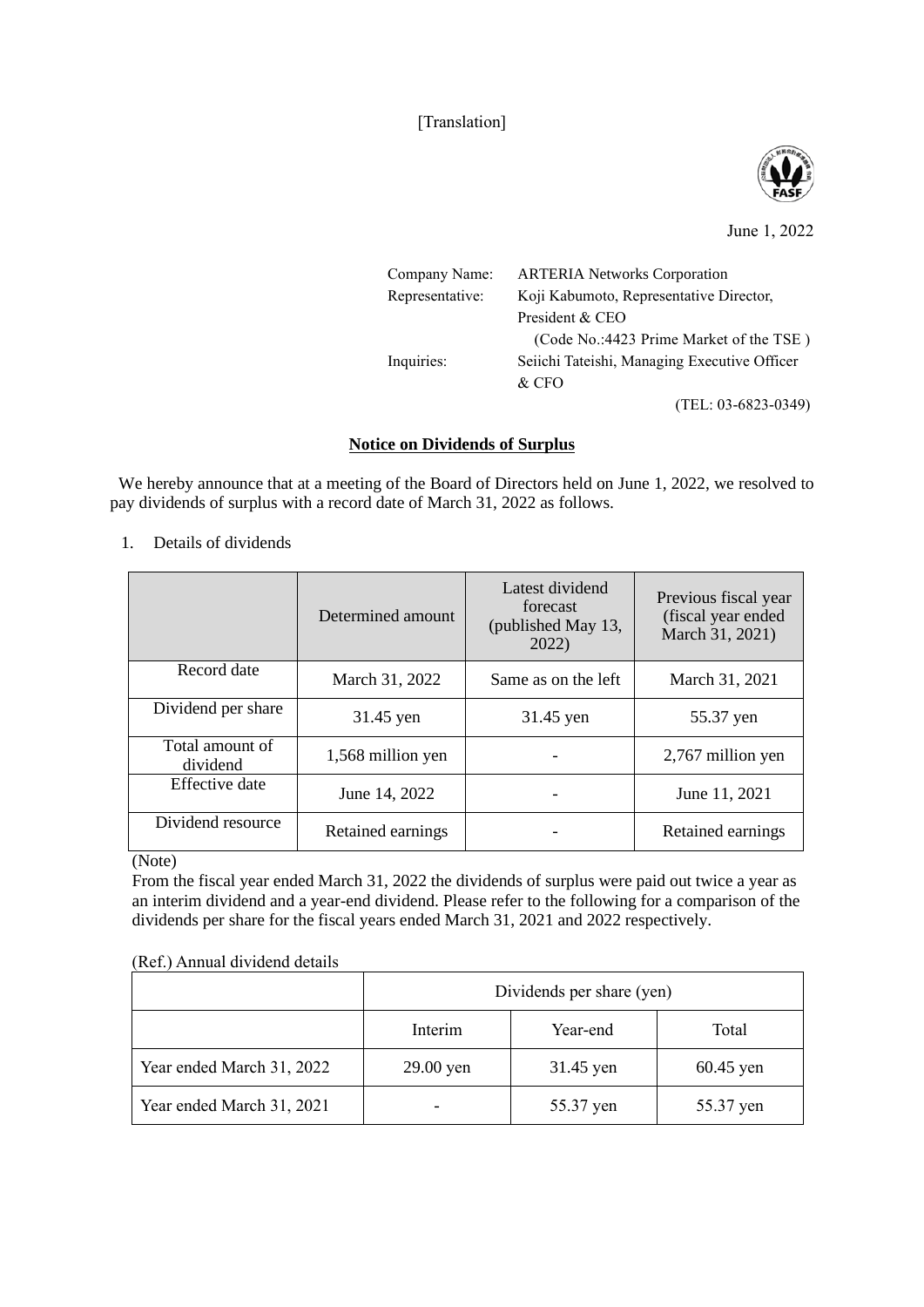[Translation]



## June 1, 2022

| Company Name:   | <b>ARTERIA Networks Corporation</b>          |  |
|-----------------|----------------------------------------------|--|
| Representative: | Koji Kabumoto, Representative Director,      |  |
|                 | President & CEO                              |  |
|                 | (Code No.:4423 Prime Market of the TSE)      |  |
| Inquiries:      | Seiichi Tateishi, Managing Executive Officer |  |
|                 | & CFO                                        |  |
|                 | $(TEL: 03-6823-0349)$                        |  |

## **Notice on Dividends of Surplus**

We hereby announce that at a meeting of the Board of Directors held on June 1, 2022, we resolved to pay dividends of surplus with a record date of March 31, 2022 as follows.

1. Details of dividends

|                             | Determined amount | Latest dividend<br>forecast<br>(published May 13,<br>2022) | Previous fiscal year<br>(fiscal year ended)<br>March 31, 2021) |
|-----------------------------|-------------------|------------------------------------------------------------|----------------------------------------------------------------|
| Record date                 | March 31, 2022    | Same as on the left                                        | March 31, 2021                                                 |
| Dividend per share          | 31.45 yen         | 31.45 yen                                                  | 55.37 yen                                                      |
| Total amount of<br>dividend | 1,568 million yen |                                                            | 2,767 million yen                                              |
| Effective date              | June 14, 2022     |                                                            | June 11, 2021                                                  |
| Dividend resource           | Retained earnings |                                                            | Retained earnings                                              |

(Note)

From the fiscal year ended March 31, 2022 the dividends of surplus were paid out twice a year as an interim dividend and a year-end dividend. Please refer to the following for a comparison of the dividends per share for the fiscal years ended March 31, 2021 and 2022 respectively.

(Ref.) Annual dividend details

|                           | Dividends per share (yen) |           |             |  |
|---------------------------|---------------------------|-----------|-------------|--|
|                           | Interim                   | Year-end  | Total       |  |
| Year ended March 31, 2022 | 29.00 yen                 | 31.45 yen | $60.45$ yen |  |
| Year ended March 31, 2021 |                           | 55.37 yen | 55.37 yen   |  |